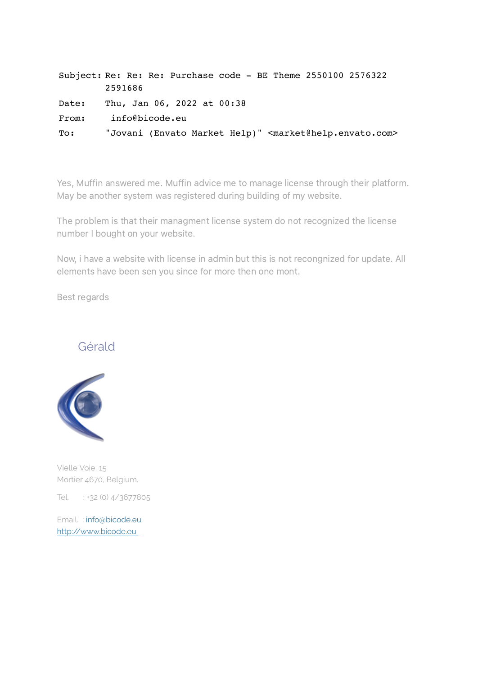|       | Subject: Re: Re: Re: Purchase code - BE Theme 2550100 2576322                   |
|-------|---------------------------------------------------------------------------------|
|       | 2591686                                                                         |
| Date: | Thu, Jan 06, 2022 at 00:38                                                      |
| From: | info@bicode.eu                                                                  |
| To:   | "Jovani (Envato Market Help)" <market@help.envato.com></market@help.envato.com> |

Yes, Muffin answered me. Muffin advice me to manage license through their platform. May be another system was registered during building of my website.

The problem is that their managment license system do not recognized the license number I bought on your website.

Now, i have a website with license in admin but this is not recongnized for update. All elements have been sen you since for more then one mont.

Best regards

## Gérald



Vielle Voie, 15 Mortier 4670, Belgium.

Tel. : +32 (0) 4/3677805

Email. : info@bicode.eu [http://www.bicode.eu](https://tr.cloudmagic.com/h/v6/link-track/1.0/1641425934359605-a0de9eb2-6ce8-8d60-e16e-2eb3363e2ef9/1641425913/6da486480e397d365756da1850fa8e49/41ac2c6d825e1a6ff958dbc44b31c027/2f4c2da744e3f4b62c7f7b1442af8d23?redirect_uri=http://www.bicode.eu/)